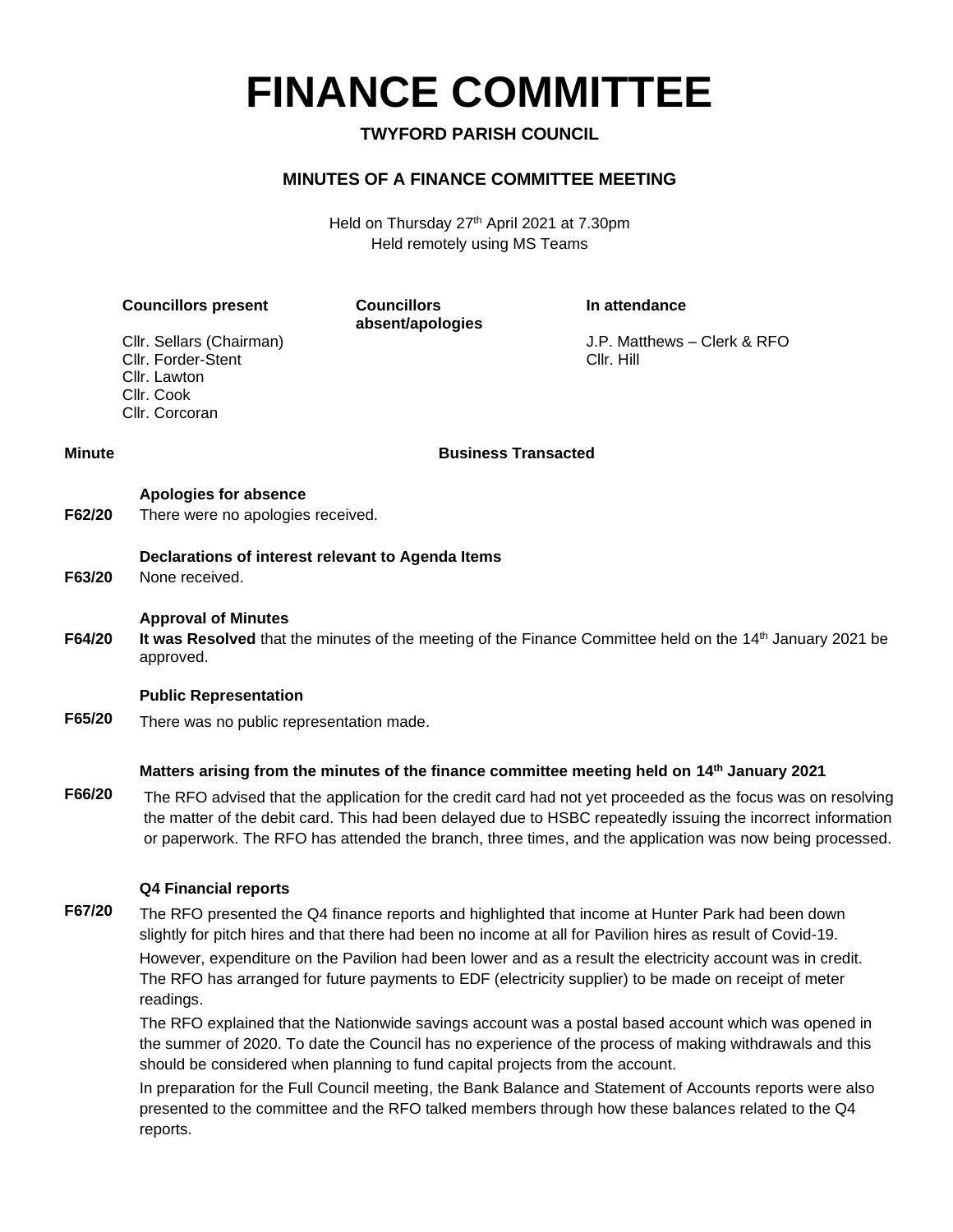**FINANCE COMMITTEE**

**TWYFORD PARISH COUNCIL**

## **MINUTES OF A FINANCE COMMITTEE MEETING**

Held on Thursday 27th April 2021 at 7.30pm Held remotely using MS Teams

|                                             | <b>Councillors present</b>                                                                                                                                                                                                                                                                                                               | <b>Councillors</b><br>absent/apologies                                        | In attendance                                                                                                                                                                                                   |
|---------------------------------------------|------------------------------------------------------------------------------------------------------------------------------------------------------------------------------------------------------------------------------------------------------------------------------------------------------------------------------------------|-------------------------------------------------------------------------------|-----------------------------------------------------------------------------------------------------------------------------------------------------------------------------------------------------------------|
|                                             | Cllr. Sellars (Chairman)<br>Cllr. Forder-Stent<br>Cllr. Lawton<br>Cllr. Cook<br>Cllr. Corcoran                                                                                                                                                                                                                                           |                                                                               | J.P. Matthews - Clerk & RFO<br>Cllr. Hill                                                                                                                                                                       |
| <b>Business Transacted</b><br><b>Minute</b> |                                                                                                                                                                                                                                                                                                                                          |                                                                               |                                                                                                                                                                                                                 |
| F62/20                                      | Apologies for absence<br>There were no apologies received.                                                                                                                                                                                                                                                                               |                                                                               |                                                                                                                                                                                                                 |
| F63/20                                      | Declarations of interest relevant to Agenda Items<br>None received.                                                                                                                                                                                                                                                                      |                                                                               |                                                                                                                                                                                                                 |
| F64/20                                      | <b>Approval of Minutes</b><br>It was Resolved that the minutes of the meeting of the Finance Committee held on the 14 <sup>th</sup> January 2021 be<br>approved.                                                                                                                                                                         |                                                                               |                                                                                                                                                                                                                 |
|                                             | <b>Public Representation</b>                                                                                                                                                                                                                                                                                                             |                                                                               |                                                                                                                                                                                                                 |
| F65/20                                      | There was no public representation made.<br>Matters arising from the minutes of the finance committee meeting held on 14 <sup>th</sup> January 2021                                                                                                                                                                                      |                                                                               |                                                                                                                                                                                                                 |
|                                             |                                                                                                                                                                                                                                                                                                                                          |                                                                               |                                                                                                                                                                                                                 |
| F66/20                                      | The RFO advised that the application for the credit card had not yet proceeded as the focus was on resolving<br>the matter of the debit card. This had been delayed due to HSBC repeatedly issuing the incorrect information<br>or paperwork. The RFO has attended the branch, three times, and the application was now being processed. |                                                                               |                                                                                                                                                                                                                 |
|                                             | <b>Q4 Financial reports</b>                                                                                                                                                                                                                                                                                                              |                                                                               |                                                                                                                                                                                                                 |
| F67/20                                      | The RFO presented the Q4 finance reports and highlighted that income at Hunter Park had been down<br>slightly for pitch hires and that there had been no income at all for Pavilion hires as result of Covid-19.                                                                                                                         |                                                                               |                                                                                                                                                                                                                 |
|                                             | However, expenditure on the Pavilion had been lower and as a result the electricity account was in credit.<br>The RFO has arranged for future payments to EDF (electricity supplier) to be made on receipt of meter<br>readings.                                                                                                         |                                                                               |                                                                                                                                                                                                                 |
|                                             |                                                                                                                                                                                                                                                                                                                                          | should be considered when planning to fund capital projects from the account. | The RFO explained that the Nationwide savings account was a postal based account which was opened in<br>the summer of 2020. To date the Council has no experience of the process of making withdrawals and this |
|                                             | In proporation for the Full Council meeting, the Bank Balance and Statement of Accounts reports were also                                                                                                                                                                                                                                |                                                                               |                                                                                                                                                                                                                 |

In preparation for the Full Council meeting, the Bank Balance and Statement of Accounts reports were also presented to the committee and the RFO talked members through how these balances related to the Q4 reports.